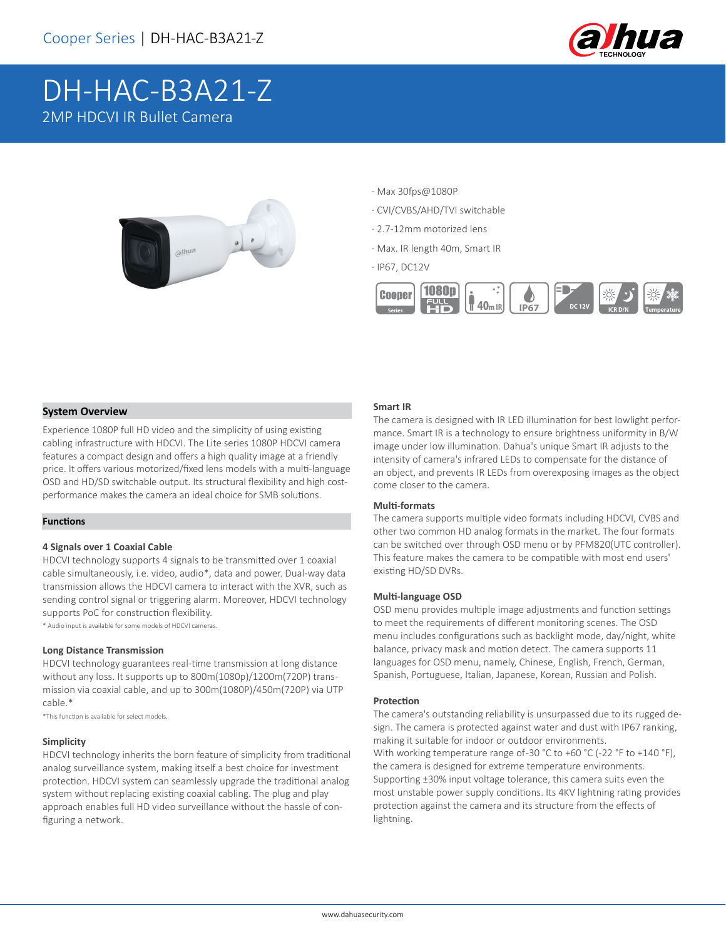

# DH-HAC-B3A21-Z 2MP HDCVI IR Bullet Camera



- · Max 30fps@1080P
- · CVI/CVBS/AHD/TVI switchable
- · 2.7-12mm motorized lens
- · Max. IR length 40m, Smart IR
- · IP67, DC12V



## **System Overview**

Experience 1080P full HD video and the simplicity of using existing cabling infrastructure with HDCVI. The Lite series 1080P HDCVI camera features a compact design and offers a high quality image at a friendly price. It offers various motorized/fixed lens models with a multi-language OSD and HD/SD switchable output. Its structural flexibility and high costperformance makes the camera an ideal choice for SMB solutions.

## **Functions**

#### **4 Signals over 1 Coaxial Cable**

HDCVI technology supports 4 signals to be transmitted over 1 coaxial cable simultaneously, i.e. video, audio\*, data and power. Dual-way data transmission allows the HDCVI camera to interact with the XVR, such as sending control signal or triggering alarm. Moreover, HDCVI technology supports PoC for construction flexibility.

\* Audio input is available for some models of HDCVI cameras.

#### **Long Distance Transmission**

HDCVI technology guarantees real-time transmission at long distance without any loss. It supports up to 800m(1080p)/1200m(720P) transmission via coaxial cable, and up to 300m(1080P)/450m(720P) via UTP cable.\*

\*This function is available for select models.

#### **Simplicity**

HDCVI technology inherits the born feature of simplicity from traditional analog surveillance system, making itself a best choice for investment protection. HDCVI system can seamlessly upgrade the traditional analog system without replacing existing coaxial cabling. The plug and play approach enables full HD video surveillance without the hassle of configuring a network.

#### **Smart IR**

The camera is designed with IR LED illumination for best lowlight performance. Smart IR is a technology to ensure brightness uniformity in B/W image under low illumination. Dahua's unique Smart IR adjusts to the intensity of camera's infrared LEDs to compensate for the distance of an object, and prevents IR LEDs from overexposing images as the object come closer to the camera.

#### **Multi-formats**

The camera supports multiple video formats including HDCVI, CVBS and other two common HD analog formats in the market. The four formats can be switched over through OSD menu or by PFM820(UTC controller). This feature makes the camera to be compatible with most end users' existing HD/SD DVRs.

#### **Multi-language OSD**

OSD menu provides multiple image adjustments and function settings to meet the requirements of different monitoring scenes. The OSD menu includes configurations such as backlight mode, day/night, white balance, privacy mask and motion detect. The camera supports 11 languages for OSD menu, namely, Chinese, English, French, German, Spanish, Portuguese, Italian, Japanese, Korean, Russian and Polish.

#### **Protection**

The camera's outstanding reliability is unsurpassed due to its rugged design. The camera is protected against water and dust with IP67 ranking, making it suitable for indoor or outdoor environments. With working temperature range of-30 °C to +60 °C (-22 °F to +140 °F), the camera is designed for extreme temperature environments. Supporting ±30% input voltage tolerance, this camera suits even the most unstable power supply conditions. Its 4KV lightning rating provides protection against the camera and its structure from the effects of lightning.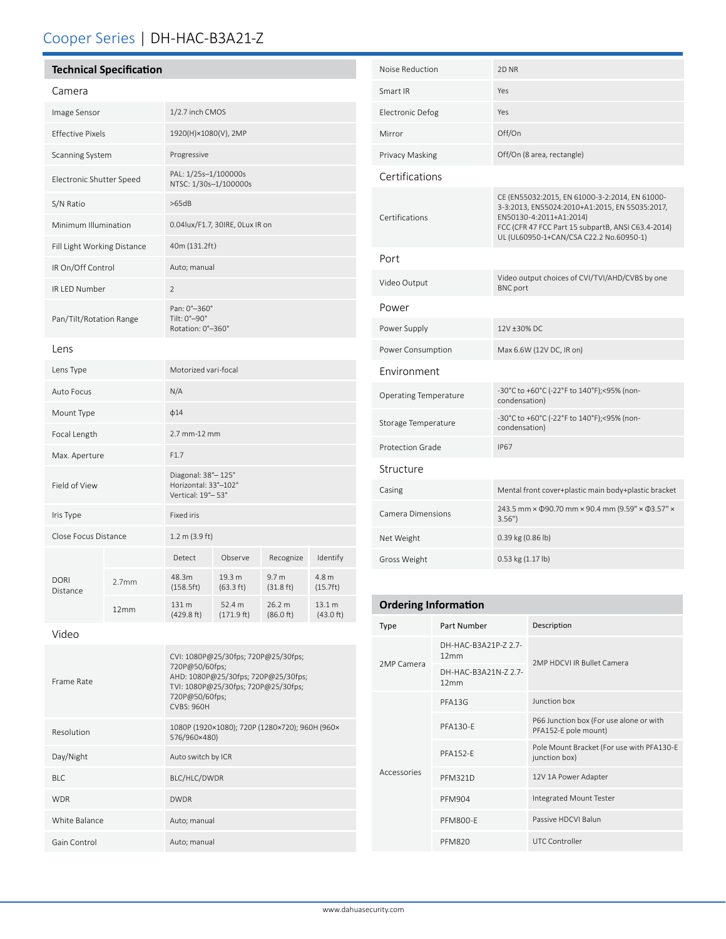## Cooper Series | DH-HAC-B3A21-Z

| <b>Technical Specification</b> |
|--------------------------------|
|                                |

| Camera                      |                   |                                                                 |                               |                                         |                     |
|-----------------------------|-------------------|-----------------------------------------------------------------|-------------------------------|-----------------------------------------|---------------------|
| Image Sensor                |                   | 1/2.7 inch CMOS                                                 |                               |                                         |                     |
| <b>Effective Pixels</b>     |                   | 1920(H)×1080(V), 2MP                                            |                               |                                         |                     |
| Scanning System             |                   | Progressive                                                     |                               |                                         |                     |
| Electronic Shutter Speed    |                   | PAL: 1/25s-1/100000s<br>NTSC: 1/30s-1/100000s                   |                               |                                         |                     |
| S/N Ratio                   |                   | >65dB                                                           |                               |                                         |                     |
| Minimum Illumination        |                   | 0.04lux/F1.7, 30IRE, OLux IR on                                 |                               |                                         |                     |
| Fill Light Working Distance |                   | 40m (131.2ft)                                                   |                               |                                         |                     |
| IR On/Off Control           |                   | Auto; manual                                                    |                               |                                         |                     |
| IR LED Number               |                   | $\overline{2}$                                                  |                               |                                         |                     |
| Pan/Tilt/Rotation Range     |                   | Pan: 0°-360°<br>Tilt: 0°-90°<br>Rotation: 0°-360°               |                               |                                         |                     |
| Lens                        |                   |                                                                 |                               |                                         |                     |
| Lens Type                   |                   | Motorized vari-focal                                            |                               |                                         |                     |
| Auto Focus                  |                   | N/A                                                             |                               |                                         |                     |
| Mount Type                  |                   | $\phi$ 14                                                       |                               |                                         |                     |
| Focal Length                |                   | 2.7 mm-12 mm                                                    |                               |                                         |                     |
| Max. Aperture               |                   | F1.7                                                            |                               |                                         |                     |
| Field of View               |                   | Diagonal: 38°-125°<br>Horizontal: 33°-102°<br>Vertical: 19°-53° |                               |                                         |                     |
| Iris Type                   |                   | <b>Fixed iris</b>                                               |                               |                                         |                     |
| Close Focus Distance        |                   | 1.2 m (3.9 ft)                                                  |                               |                                         |                     |
| <b>DORI</b><br>Distance     |                   | Detect                                                          | Observe                       | Recognize                               | Identify            |
|                             | 2.7 <sub>mm</sub> | 48.3m<br>(158.5ft)                                              | 19.3 m<br>$(63.3 \text{ ft})$ | 9.7 <sub>m</sub><br>$(31.8 \text{ ft})$ | 4.8 m<br>(15.7ft)   |
|                             | 12mm              | 131 m<br>(429.8 ft)                                             | 52.4 m<br>(171.9 ft)          | 26.2 m<br>(86.0 ft)                     | 13.1 m<br>(43.0 ft) |
|                             |                   |                                                                 |                               |                                         |                     |

| Noise Reduction              | 2D <sub>NR</sub>                                                                                                                                                                                                             |
|------------------------------|------------------------------------------------------------------------------------------------------------------------------------------------------------------------------------------------------------------------------|
| Smart IR                     | Yes                                                                                                                                                                                                                          |
| <b>Electronic Defog</b>      | Yes                                                                                                                                                                                                                          |
| Mirror                       | Off/On                                                                                                                                                                                                                       |
| Privacy Masking              | Off/On (8 area, rectangle)                                                                                                                                                                                                   |
| Certifications               |                                                                                                                                                                                                                              |
| Certifications               | CE (EN55032:2015, EN 61000-3-2:2014, EN 61000-<br>3-3:2013, EN55024:2010+A1:2015, EN 55035:2017,<br>EN50130-4:2011+A1:2014)<br>FCC (CFR 47 FCC Part 15 subpartB, ANSI C63.4-2014)<br>UL (UL60950-1+CAN/CSA C22.2 No.60950-1) |
| Port                         |                                                                                                                                                                                                                              |
| Video Output                 | Video output choices of CVI/TVI/AHD/CVBS by one<br><b>BNC</b> port                                                                                                                                                           |
| Power                        |                                                                                                                                                                                                                              |
| Power Supply                 | 12V ±30% DC                                                                                                                                                                                                                  |
| Power Consumption            | Max 6.6W (12V DC, IR on)                                                                                                                                                                                                     |
| <b>Environment</b>           |                                                                                                                                                                                                                              |
| <b>Operating Temperature</b> | -30°C to +60°C (-22°F to 140°F);<95% (non-<br>condensation)                                                                                                                                                                  |
| Storage Temperature          | -30°C to +60°C (-22°F to 140°F);<95% (non-<br>condensation)                                                                                                                                                                  |
| <b>Protection Grade</b>      | <b>IP67</b>                                                                                                                                                                                                                  |
| Structure                    |                                                                                                                                                                                                                              |
| Casing                       | Mental front cover+plastic main body+plastic bracket                                                                                                                                                                         |
| <b>Camera Dimensions</b>     | 243.5 mm × 090.70 mm × 90.4 mm (9.59" × 03.57" ×<br>3.56"                                                                                                                                                                    |
| Net Weight                   | 0.39 kg (0.86 lb)                                                                                                                                                                                                            |
| Gross Weight                 | $0.53$ kg $(1.17$ lb)                                                                                                                                                                                                        |
|                              |                                                                                                                                                                                                                              |

## **Ordering Information**

| <b>Type</b> | Part Number                  | Description                                                     |  |
|-------------|------------------------------|-----------------------------------------------------------------|--|
| 2MP Camera  | DH-HAC-B3A21P-7 2.7-<br>12mm | 2MP HDCVLIR Bullet Camera                                       |  |
|             | DH-HAC-B3A21N-72.7-<br>12mm  |                                                                 |  |
| Accessories | PFA13G                       | Junction box                                                    |  |
|             | <b>PFA130-F</b>              | P66 Junction box (For use alone or with<br>PFA152-E pole mount) |  |
|             | <b>PFA152-F</b>              | Pole Mount Bracket (For use with PFA130-E<br>junction box)      |  |
|             | <b>PFM321D</b>               | 12V 1A Power Adapter                                            |  |
|             | <b>PFM904</b>                | Integrated Mount Tester                                         |  |
|             | <b>PFM800-E</b>              | Passive HDCVI Balun                                             |  |
|             | <b>PFM820</b>                | <b>UTC Controller</b>                                           |  |

| Frame Rate    | CVI: 1080P@25/30fps; 720P@25/30fps;<br>720P@50/60fps;<br>AHD: 1080P@25/30fps; 720P@25/30fps;<br>TVI: 1080P@25/30fps; 720P@25/30fps;<br>720P@50/60fps;<br><b>CVBS: 960H</b> |
|---------------|----------------------------------------------------------------------------------------------------------------------------------------------------------------------------|
| Resolution    | 1080P (1920×1080); 720P (1280×720); 960H (960×<br>576/960×480)                                                                                                             |
| Day/Night     | Auto switch by ICR                                                                                                                                                         |
| BIC.          | BLC/HLC/DWDR                                                                                                                                                               |
| <b>WDR</b>    | <b>DWDR</b>                                                                                                                                                                |
| White Balance | Auto; manual                                                                                                                                                               |
| Gain Control  | Auto; manual                                                                                                                                                               |